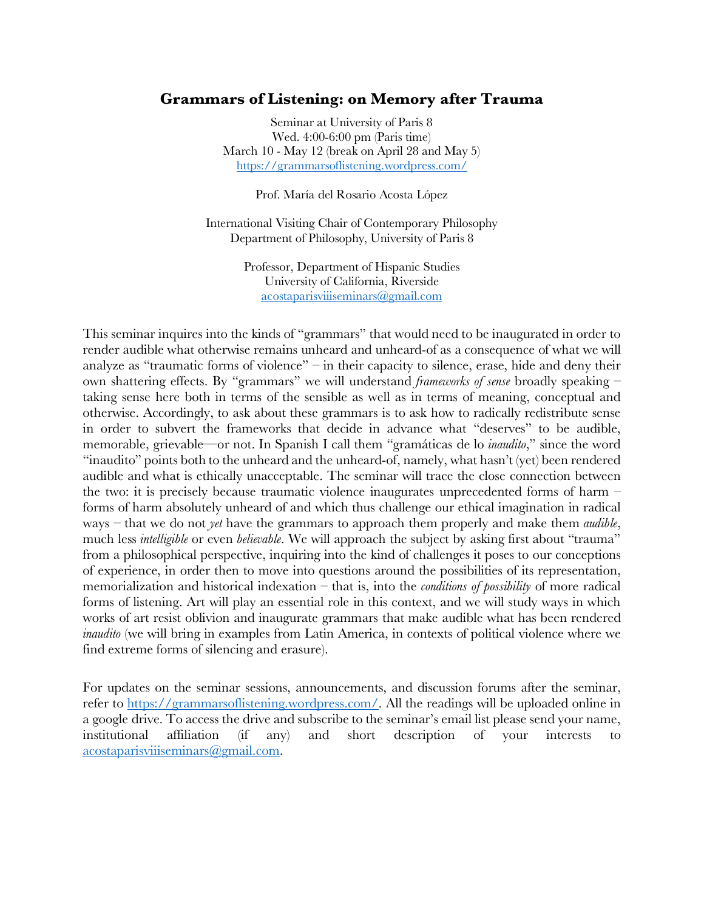## **Grammars of Listening: on Memory after Trauma**

Seminar at University of Paris 8 Wed. 4:00-6:00 pm (Paris time) March 10 - May 12 (break on April 28 and May 5) https://grammarsoflistening.wordpress.com/

Prof. María del Rosario Acosta López

International Visiting Chair of Contemporary Philosophy Department of Philosophy, University of Paris 8

> Professor, Department of Hispanic Studies University of California, Riverside acostaparisviiiseminars@gmail.com

This seminar inquires into the kinds of "grammars" that would need to be inaugurated in order to render audible what otherwise remains unheard and unheard-of as a consequence of what we will analyze as "traumatic forms of violence" – in their capacity to silence, erase, hide and deny their own shattering effects. By "grammars" we will understand *frameworks of sense* broadly speaking – taking sense here both in terms of the sensible as well as in terms of meaning, conceptual and otherwise. Accordingly, to ask about these grammars is to ask how to radically redistribute sense in order to subvert the frameworks that decide in advance what "deserves" to be audible, memorable, grievable—or not. In Spanish I call them "gramáticas de lo *inaudito*," since the word "inaudito" points both to the unheard and the unheard-of, namely, what hasn't (yet) been rendered audible and what is ethically unacceptable. The seminar will trace the close connection between the two: it is precisely because traumatic violence inaugurates unprecedented forms of harm – forms of harm absolutely unheard of and which thus challenge our ethical imagination in radical ways – that we do not *yet* have the grammars to approach them properly and make them *audible*, much less *intelligible* or even *believable*. We will approach the subject by asking first about "trauma" from a philosophical perspective, inquiring into the kind of challenges it poses to our conceptions of experience, in order then to move into questions around the possibilities of its representation, memorialization and historical indexation – that is, into the *conditions of possibility* of more radical forms of listening. Art will play an essential role in this context, and we will study ways in which works of art resist oblivion and inaugurate grammars that make audible what has been rendered *inaudito* (we will bring in examples from Latin America, in contexts of political violence where we find extreme forms of silencing and erasure).

For updates on the seminar sessions, announcements, and discussion forums after the seminar, refer to https://grammarsoflistening.wordpress.com/. All the readings will be uploaded online in a google drive. To access the drive and subscribe to the seminar's email list please send your name, institutional affiliation (if any) and short description of your interests to acostaparisviiiseminars@gmail.com.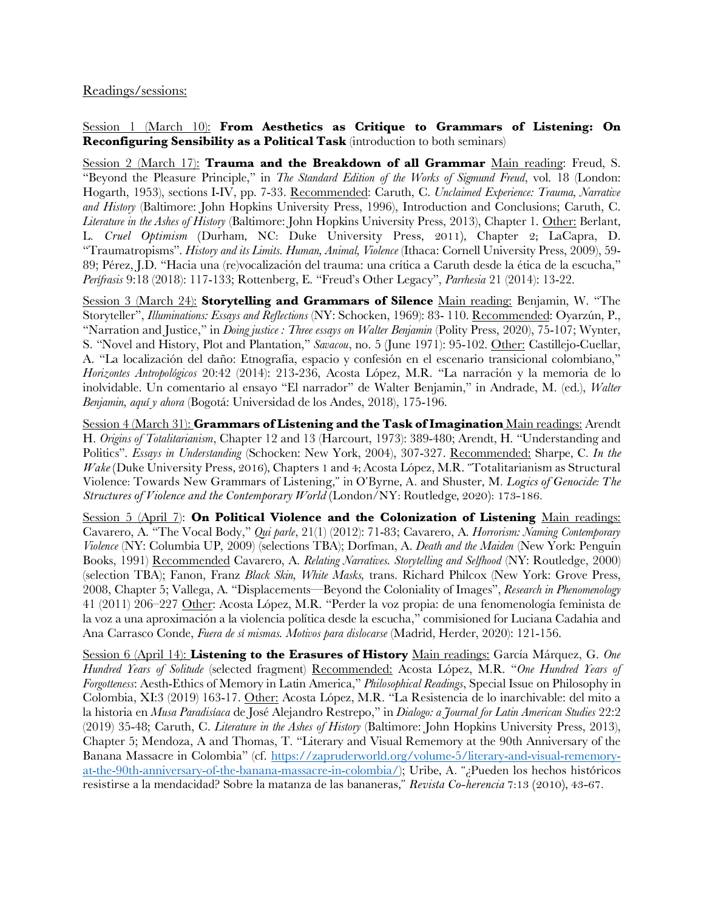Readings/sessions:

Session 1 (March 10): **From Aesthetics as Critique to Grammars of Listening: On Reconfiguring Sensibility as a Political Task** (introduction to both seminars)

Session 2 (March 17): **Trauma and the Breakdown of all Grammar** Main reading: Freud, S. "Beyond the Pleasure Principle," in *The Standard Edition of the Works of Sigmund Freud*, vol. 18 (London: Hogarth, 1953), sections I-IV, pp. 7-33. Recommended: Caruth, C. *Unclaimed Experience: Trauma, Narrative and History* (Baltimore: John Hopkins University Press, 1996), Introduction and Conclusions; Caruth, C. *Literature in the Ashes of History* (Baltimore: John Hopkins University Press, 2013), Chapter 1. Other: Berlant, L. *Cruel Optimism* (Durham, NC: Duke University Press, 2011), Chapter 2; LaCapra, D. "Traumatropisms". *History and its Limits. Human, Animal, Violence* (Ithaca: Cornell University Press, 2009), 59- 89; Pérez, J.D. "Hacia una (re)vocalización del trauma: una crítica a Caruth desde la ética de la escucha," *Perífrasis* 9:18 (2018): 117-133; Rottenberg, E. "Freud's Other Legacy", *Parrhesia* 21 (2014): 13-22.

Session 3 (March 24): **Storytelling and Grammars of Silence** Main reading: Benjamin, W. "The Storyteller", *Illuminations: Essays and Reflections* (NY: Schocken, 1969): 83- 110. Recommended: Oyarzún, P., "Narration and Justice," in *Doing justice : Three essays on Walter Benjamin* (Polity Press, 2020), 75-107; Wynter, S. "Novel and History, Plot and Plantation," *Savacou*, no. 5 (June 1971): 95-102. Other: Castillejo-Cuellar, A. "La localización del daño: Etnografía, espacio y confesión en el escenario transicional colombiano," *Horizontes Antropológicos* 20:42 (2014): 213-236, Acosta López, M.R. "La narración y la memoria de lo inolvidable. Un comentario al ensayo "El narrador" de Walter Benjamin," in Andrade, M. (ed.), *Walter Benjamin, aquí y ahora* (Bogotá: Universidad de los Andes, 2018), 175-196.

Session 4 (March 31): **Grammars of Listening and the Task of Imagination** Main readings: Arendt H. *Origins of Totalitarianism*, Chapter 12 and 13 (Harcourt, 1973): 389-480; Arendt, H. "Understanding and Politics". *Essays in Understanding* (Schocken: New York, 2004), 307-327. Recommended: Sharpe, C. *In the Wake* (Duke University Press, 2016), Chapters 1 and 4; Acosta López, M.R. "Totalitarianism as Structural Violence: Towards New Grammars of Listening," in O'Byrne, A. and Shuster, M. *Logics of Genocide: The Structures of Violence and the Contemporary World* (London/NY: Routledge*,* 2020): 173-186.

Session 5 (April 7): **On Political Violence and the Colonization of Listening** Main readings: Cavarero, A. "The Vocal Body," *Qui parle*, 21(1) (2012): 71-83; Cavarero, A. *Horrorism: Naming Contemporary Violence* (NY: Columbia UP, 2009) (selections TBA); Dorfman, A. *Death and the Maiden* (New York: Penguin Books, 1991) Recommended Cavarero, A. *Relating Narratives. Storytelling and Selfhood* (NY: Routledge, 2000) (selection TBA); Fanon, Franz *Black Skin, White Masks,* trans. Richard Philcox (New York: Grove Press, 2008, Chapter 5; Vallega, A. "Displacements—Beyond the Coloniality of Images", *Research in Phenomenology*  41 (2011) 206–227 Other: Acosta López, M.R. "Perder la voz propia: de una fenomenología feminista de la voz a una aproximación a la violencia política desde la escucha," commisioned for Luciana Cadahia and Ana Carrasco Conde, *Fuera de sí mismas. Motivos para dislocarse* (Madrid, Herder, 2020): 121-156.

Session 6 (April 14): **Listening to the Erasures of History** Main readings: García Márquez, G. *One Hundred Years of Solitude* (selected fragment) Recommended: Acosta López, M.R. "*One Hundred Years of Forgotteness*: Aesth-Ethics of Memory in Latin America," *Philosophical Readings*, Special Issue on Philosophy in Colombia, XI:3 (2019) 163-17. Other: Acosta López, M.R. "La Resistencia de lo inarchivable: del mito a la historia en *Musa Paradisíaca* de José Alejandro Restrepo," in *Dialogo: a Journal for Latin American Studies* 22:2 (2019) 35-48; Caruth, C. *Literature in the Ashes of History* (Baltimore: John Hopkins University Press, 2013), Chapter 5; Mendoza, A and Thomas, T. "Literary and Visual Rememory at the 90th Anniversary of the Banana Massacre in Colombia" (cf. https://zapruderworld.org/volume-5/literary-and-visual-rememoryat-the-90th-anniversary-of-the-banana-massacre-in-colombia/); Uribe, A. "¿Pueden los hechos históricos resistirse a la mendacidad? Sobre la matanza de las bananeras," *Revista Co-herencia* 7:13 (2010), 43-67.